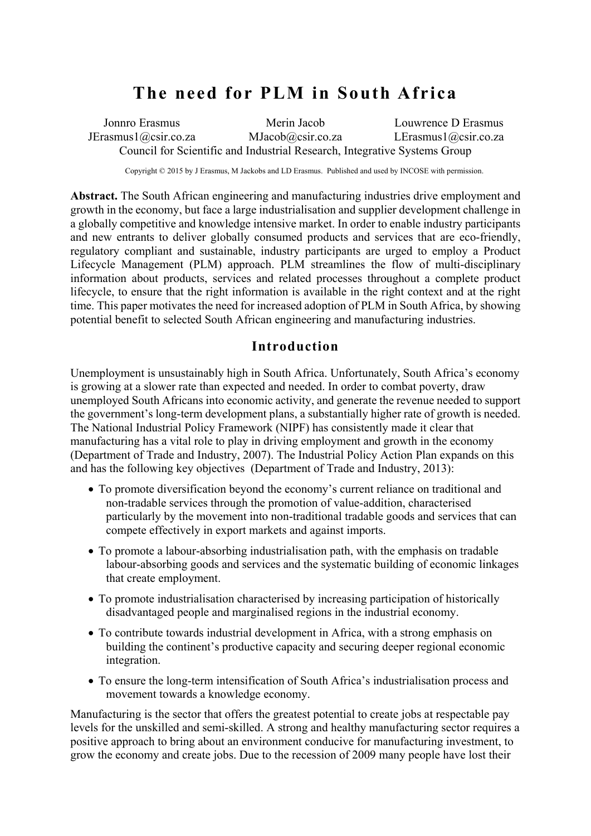# **The need for PLM in South Africa**

Jonnro Erasmus JErasmus1@csir.co.za Merin Jacob MJacob@csir.co.za Louwrence D Erasmus LErasmus1@csir.co.za Council for Scientific and Industrial Research, Integrative Systems Group

Copyright © 2015 by J Erasmus, M Jackobs and LD Erasmus. Published and used by INCOSE with permission.

**Abstract.** The South African engineering and manufacturing industries drive employment and growth in the economy, but face a large industrialisation and supplier development challenge in a globally competitive and knowledge intensive market. In order to enable industry participants and new entrants to deliver globally consumed products and services that are eco-friendly, regulatory compliant and sustainable, industry participants are urged to employ a Product Lifecycle Management (PLM) approach. PLM streamlines the flow of multi-disciplinary information about products, services and related processes throughout a complete product lifecycle, to ensure that the right information is available in the right context and at the right time. This paper motivates the need for increased adoption of PLM in South Africa, by showing potential benefit to selected South African engineering and manufacturing industries.

#### **Introduction**

Unemployment is unsustainably high in South Africa. Unfortunately, South Africa's economy is growing at a slower rate than expected and needed. In order to combat poverty, draw unemployed South Africans into economic activity, and generate the revenue needed to support the government's long-term development plans, a substantially higher rate of growth is needed. The National Industrial Policy Framework (NIPF) has consistently made it clear that manufacturing has a vital role to play in driving employment and growth in the economy (Department of Trade and Industry, 2007). The Industrial Policy Action Plan expands on this and has the following key objectives (Department of Trade and Industry, 2013):

- To promote diversification beyond the economy's current reliance on traditional and non-tradable services through the promotion of value-addition, characterised particularly by the movement into non-traditional tradable goods and services that can compete effectively in export markets and against imports.
- To promote a labour-absorbing industrialisation path, with the emphasis on tradable labour-absorbing goods and services and the systematic building of economic linkages that create employment.
- To promote industrialisation characterised by increasing participation of historically disadvantaged people and marginalised regions in the industrial economy.
- To contribute towards industrial development in Africa, with a strong emphasis on building the continent's productive capacity and securing deeper regional economic integration.
- To ensure the long-term intensification of South Africa's industrialisation process and movement towards a knowledge economy.

Manufacturing is the sector that offers the greatest potential to create jobs at respectable pay levels for the unskilled and semi-skilled. A strong and healthy manufacturing sector requires a positive approach to bring about an environment conducive for manufacturing investment, to grow the economy and create jobs. Due to the recession of 2009 many people have lost their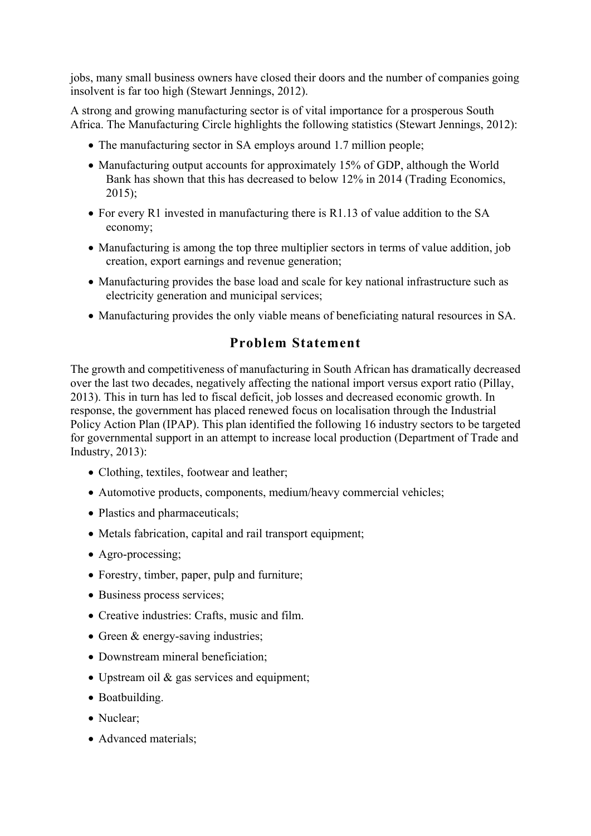jobs, many small business owners have closed their doors and the number of companies going insolvent is far too high (Stewart Jennings, 2012).

A strong and growing manufacturing sector is of vital importance for a prosperous South Africa. The Manufacturing Circle highlights the following statistics (Stewart Jennings, 2012):

- The manufacturing sector in SA employs around 1.7 million people;
- Manufacturing output accounts for approximately 15% of GDP, although the World Bank has shown that this has decreased to below 12% in 2014 (Trading Economics, 2015);
- For every R1 invested in manufacturing there is R1.13 of value addition to the SA economy;
- Manufacturing is among the top three multiplier sectors in terms of value addition, job creation, export earnings and revenue generation;
- Manufacturing provides the base load and scale for key national infrastructure such as electricity generation and municipal services;
- Manufacturing provides the only viable means of beneficiating natural resources in SA.

# **Problem Statement**

The growth and competitiveness of manufacturing in South African has dramatically decreased over the last two decades, negatively affecting the national import versus export ratio (Pillay, 2013). This in turn has led to fiscal deficit, job losses and decreased economic growth. In response, the government has placed renewed focus on localisation through the Industrial Policy Action Plan (IPAP). This plan identified the following 16 industry sectors to be targeted for governmental support in an attempt to increase local production (Department of Trade and Industry, 2013):

- Clothing, textiles, footwear and leather;
- Automotive products, components, medium/heavy commercial vehicles;
- Plastics and pharmaceuticals;
- Metals fabrication, capital and rail transport equipment;
- Agro-processing;
- Forestry, timber, paper, pulp and furniture;
- Business process services;
- Creative industries: Crafts, music and film.
- Green & energy-saving industries;
- Downstream mineral beneficiation;
- Upstream oil & gas services and equipment;
- Boatbuilding.
- Nuclear;
- Advanced materials: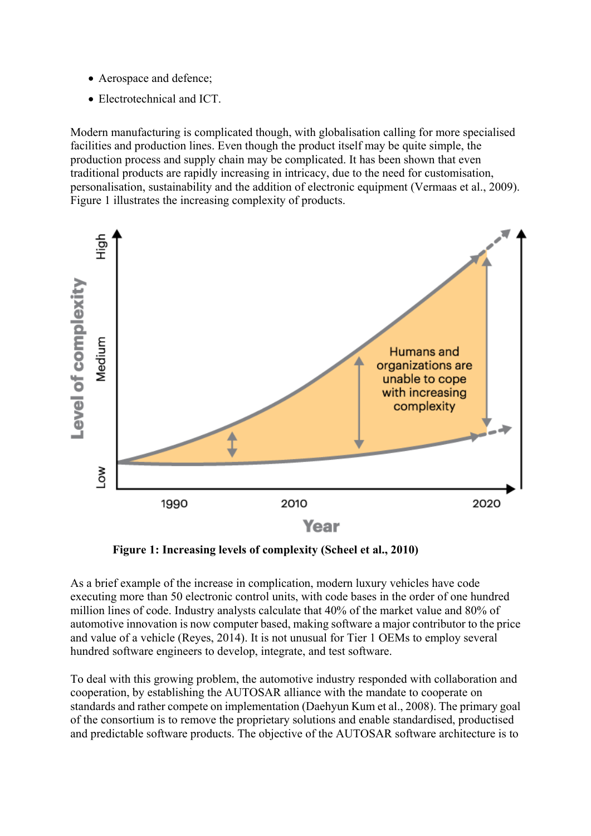- Aerospace and defence;
- Electrotechnical and ICT.

Modern manufacturing is complicated though, with globalisation calling for more specialised facilities and production lines. Even though the product itself may be quite simple, the production process and supply chain may be complicated. It has been shown that even traditional products are rapidly increasing in intricacy, due to the need for customisation, personalisation, sustainability and the addition of electronic equipment (Vermaas et al., 2009). Figure 1 illustrates the increasing complexity of products.



**Figure 1: Increasing levels of complexity (Scheel et al., 2010)**

As a brief example of the increase in complication, modern luxury vehicles have code executing more than 50 electronic control units, with code bases in the order of one hundred million lines of code. Industry analysts calculate that 40% of the market value and 80% of automotive innovation is now computer based, making software a major contributor to the price and value of a vehicle (Reyes, 2014). It is not unusual for Tier 1 OEMs to employ several hundred software engineers to develop, integrate, and test software.

To deal with this growing problem, the automotive industry responded with collaboration and cooperation, by establishing the AUTOSAR alliance with the mandate to cooperate on standards and rather compete on implementation (Daehyun Kum et al., 2008). The primary goal of the consortium is to remove the proprietary solutions and enable standardised, productised and predictable software products. The objective of the AUTOSAR software architecture is to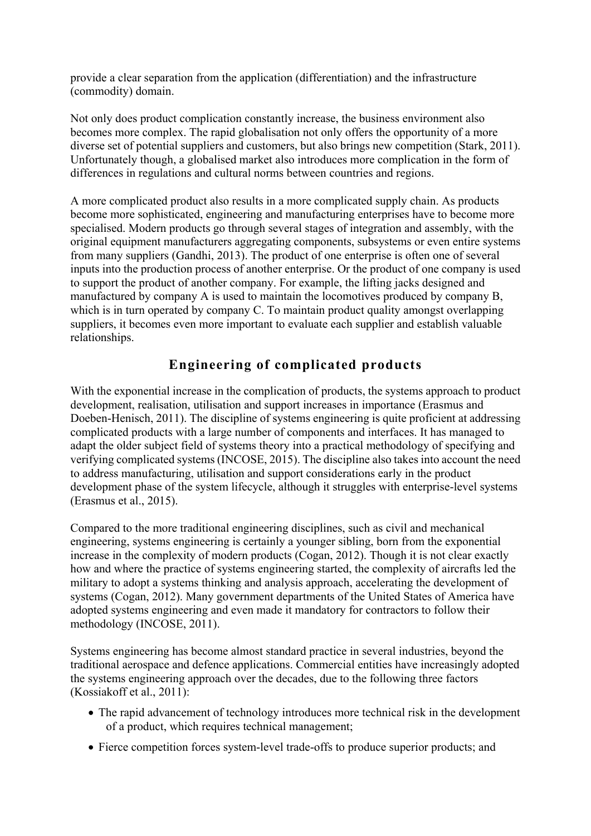provide a clear separation from the application (differentiation) and the infrastructure (commodity) domain.

Not only does product complication constantly increase, the business environment also becomes more complex. The rapid globalisation not only offers the opportunity of a more diverse set of potential suppliers and customers, but also brings new competition (Stark, 2011). Unfortunately though, a globalised market also introduces more complication in the form of differences in regulations and cultural norms between countries and regions.

A more complicated product also results in a more complicated supply chain. As products become more sophisticated, engineering and manufacturing enterprises have to become more specialised. Modern products go through several stages of integration and assembly, with the original equipment manufacturers aggregating components, subsystems or even entire systems from many suppliers (Gandhi, 2013). The product of one enterprise is often one of several inputs into the production process of another enterprise. Or the product of one company is used to support the product of another company. For example, the lifting jacks designed and manufactured by company A is used to maintain the locomotives produced by company B, which is in turn operated by company C. To maintain product quality amongst overlapping suppliers, it becomes even more important to evaluate each supplier and establish valuable relationships.

# **Engineering of complicated products**

With the exponential increase in the complication of products, the systems approach to product development, realisation, utilisation and support increases in importance (Erasmus and Doeben-Henisch, 2011). The discipline of systems engineering is quite proficient at addressing complicated products with a large number of components and interfaces. It has managed to adapt the older subject field of systems theory into a practical methodology of specifying and verifying complicated systems (INCOSE, 2015). The discipline also takes into account the need to address manufacturing, utilisation and support considerations early in the product development phase of the system lifecycle, although it struggles with enterprise-level systems (Erasmus et al., 2015).

Compared to the more traditional engineering disciplines, such as civil and mechanical engineering, systems engineering is certainly a younger sibling, born from the exponential increase in the complexity of modern products (Cogan, 2012). Though it is not clear exactly how and where the practice of systems engineering started, the complexity of aircrafts led the military to adopt a systems thinking and analysis approach, accelerating the development of systems (Cogan, 2012). Many government departments of the United States of America have adopted systems engineering and even made it mandatory for contractors to follow their methodology (INCOSE, 2011).

Systems engineering has become almost standard practice in several industries, beyond the traditional aerospace and defence applications. Commercial entities have increasingly adopted the systems engineering approach over the decades, due to the following three factors (Kossiakoff et al., 2011):

- The rapid advancement of technology introduces more technical risk in the development of a product, which requires technical management;
- Fierce competition forces system-level trade-offs to produce superior products; and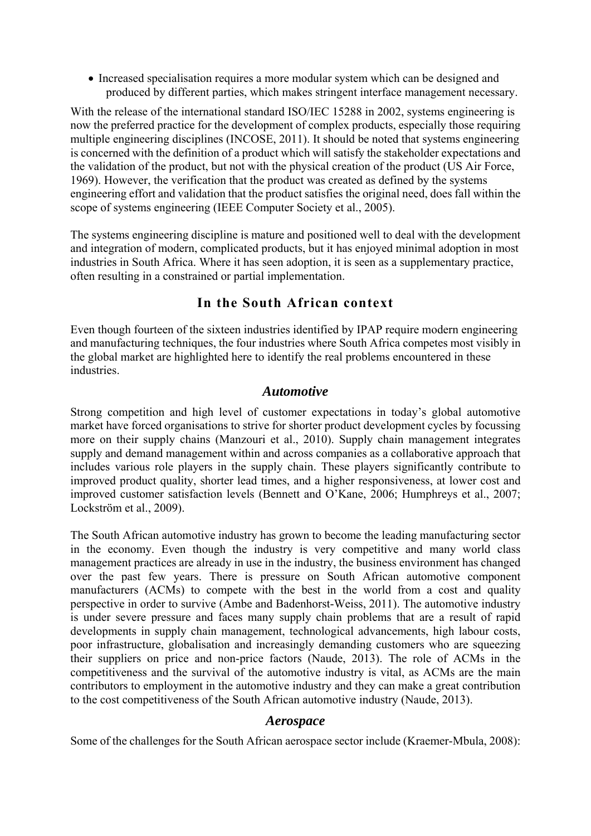Increased specialisation requires a more modular system which can be designed and produced by different parties, which makes stringent interface management necessary.

With the release of the international standard ISO/IEC 15288 in 2002, systems engineering is now the preferred practice for the development of complex products, especially those requiring multiple engineering disciplines (INCOSE, 2011). It should be noted that systems engineering is concerned with the definition of a product which will satisfy the stakeholder expectations and the validation of the product, but not with the physical creation of the product (US Air Force, 1969). However, the verification that the product was created as defined by the systems engineering effort and validation that the product satisfies the original need, does fall within the scope of systems engineering (IEEE Computer Society et al., 2005).

The systems engineering discipline is mature and positioned well to deal with the development and integration of modern, complicated products, but it has enjoyed minimal adoption in most industries in South Africa. Where it has seen adoption, it is seen as a supplementary practice, often resulting in a constrained or partial implementation.

# **In the South African context**

Even though fourteen of the sixteen industries identified by IPAP require modern engineering and manufacturing techniques, the four industries where South Africa competes most visibly in the global market are highlighted here to identify the real problems encountered in these industries.

#### *Automotive*

Strong competition and high level of customer expectations in today's global automotive market have forced organisations to strive for shorter product development cycles by focussing more on their supply chains (Manzouri et al., 2010). Supply chain management integrates supply and demand management within and across companies as a collaborative approach that includes various role players in the supply chain. These players significantly contribute to improved product quality, shorter lead times, and a higher responsiveness, at lower cost and improved customer satisfaction levels (Bennett and O'Kane, 2006; Humphreys et al., 2007; Lockström et al., 2009).

The South African automotive industry has grown to become the leading manufacturing sector in the economy. Even though the industry is very competitive and many world class management practices are already in use in the industry, the business environment has changed over the past few years. There is pressure on South African automotive component manufacturers (ACMs) to compete with the best in the world from a cost and quality perspective in order to survive (Ambe and Badenhorst-Weiss, 2011). The automotive industry is under severe pressure and faces many supply chain problems that are a result of rapid developments in supply chain management, technological advancements, high labour costs, poor infrastructure, globalisation and increasingly demanding customers who are squeezing their suppliers on price and non-price factors (Naude, 2013). The role of ACMs in the competitiveness and the survival of the automotive industry is vital, as ACMs are the main contributors to employment in the automotive industry and they can make a great contribution to the cost competitiveness of the South African automotive industry (Naude, 2013).

#### *Aerospace*

Some of the challenges for the South African aerospace sector include (Kraemer-Mbula, 2008):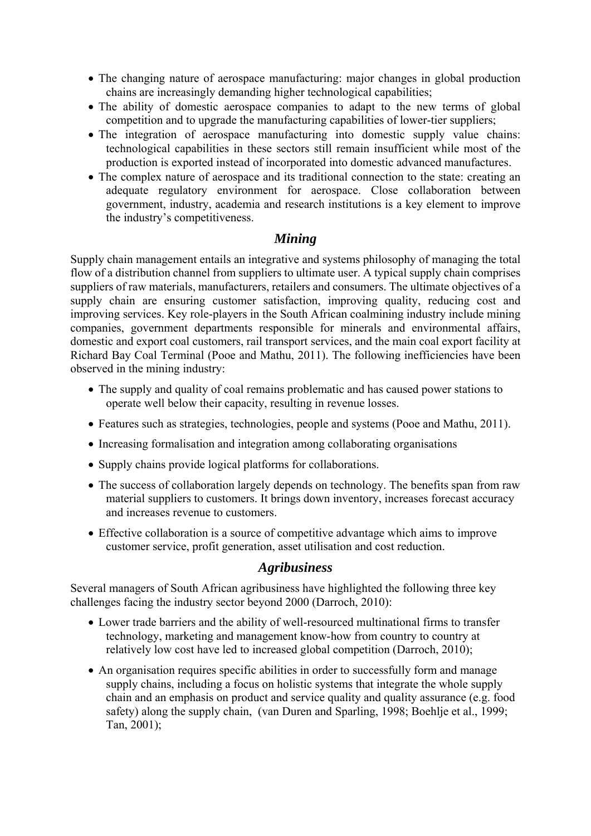- The changing nature of aerospace manufacturing: major changes in global production chains are increasingly demanding higher technological capabilities;
- The ability of domestic aerospace companies to adapt to the new terms of global competition and to upgrade the manufacturing capabilities of lower-tier suppliers;
- The integration of aerospace manufacturing into domestic supply value chains: technological capabilities in these sectors still remain insufficient while most of the production is exported instead of incorporated into domestic advanced manufactures.
- The complex nature of aerospace and its traditional connection to the state: creating an adequate regulatory environment for aerospace. Close collaboration between government, industry, academia and research institutions is a key element to improve the industry's competitiveness.

#### *Mining*

Supply chain management entails an integrative and systems philosophy of managing the total flow of a distribution channel from suppliers to ultimate user. A typical supply chain comprises suppliers of raw materials, manufacturers, retailers and consumers. The ultimate objectives of a supply chain are ensuring customer satisfaction, improving quality, reducing cost and improving services. Key role-players in the South African coalmining industry include mining companies, government departments responsible for minerals and environmental affairs, domestic and export coal customers, rail transport services, and the main coal export facility at Richard Bay Coal Terminal (Pooe and Mathu, 2011). The following inefficiencies have been observed in the mining industry:

- The supply and quality of coal remains problematic and has caused power stations to operate well below their capacity, resulting in revenue losses.
- Features such as strategies, technologies, people and systems (Pooe and Mathu, 2011).
- Increasing formalisation and integration among collaborating organisations
- Supply chains provide logical platforms for collaborations.
- The success of collaboration largely depends on technology. The benefits span from raw material suppliers to customers. It brings down inventory, increases forecast accuracy and increases revenue to customers.
- Effective collaboration is a source of competitive advantage which aims to improve customer service, profit generation, asset utilisation and cost reduction.

# *Agribusiness*

Several managers of South African agribusiness have highlighted the following three key challenges facing the industry sector beyond 2000 (Darroch, 2010):

- Lower trade barriers and the ability of well-resourced multinational firms to transfer technology, marketing and management know-how from country to country at relatively low cost have led to increased global competition (Darroch, 2010);
- An organisation requires specific abilities in order to successfully form and manage supply chains, including a focus on holistic systems that integrate the whole supply chain and an emphasis on product and service quality and quality assurance (e.g. food safety) along the supply chain, (van Duren and Sparling, 1998; Boehlje et al., 1999; Tan, 2001);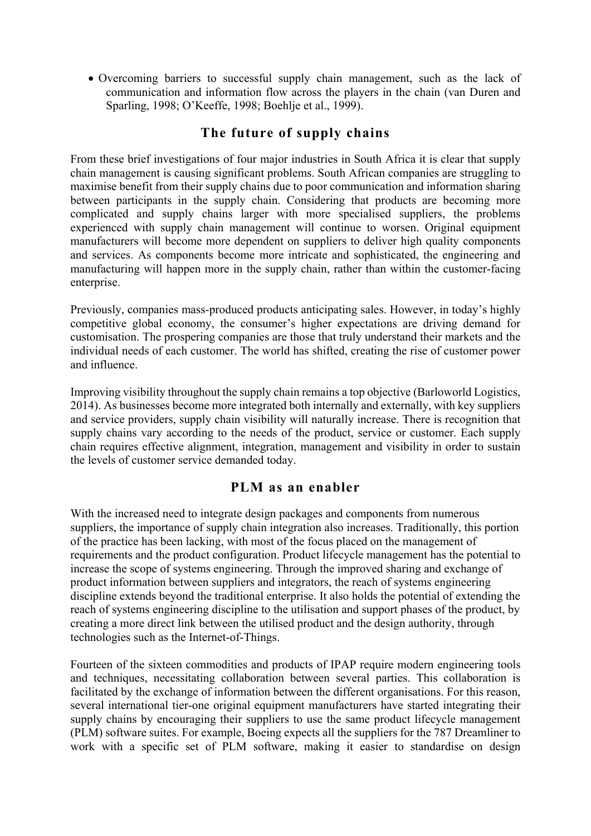Overcoming barriers to successful supply chain management, such as the lack of communication and information flow across the players in the chain (van Duren and Sparling, 1998; O'Keeffe, 1998; Boehlje et al., 1999).

# **The future of supply chains**

From these brief investigations of four major industries in South Africa it is clear that supply chain management is causing significant problems. South African companies are struggling to maximise benefit from their supply chains due to poor communication and information sharing between participants in the supply chain. Considering that products are becoming more complicated and supply chains larger with more specialised suppliers, the problems experienced with supply chain management will continue to worsen. Original equipment manufacturers will become more dependent on suppliers to deliver high quality components and services. As components become more intricate and sophisticated, the engineering and manufacturing will happen more in the supply chain, rather than within the customer-facing enterprise.

Previously, companies mass-produced products anticipating sales. However, in today's highly competitive global economy, the consumer's higher expectations are driving demand for customisation. The prospering companies are those that truly understand their markets and the individual needs of each customer. The world has shifted, creating the rise of customer power and influence.

Improving visibility throughout the supply chain remains a top objective (Barloworld Logistics, 2014). As businesses become more integrated both internally and externally, with key suppliers and service providers, supply chain visibility will naturally increase. There is recognition that supply chains vary according to the needs of the product, service or customer. Each supply chain requires effective alignment, integration, management and visibility in order to sustain the levels of customer service demanded today.

#### **PLM as an enabler**

With the increased need to integrate design packages and components from numerous suppliers, the importance of supply chain integration also increases. Traditionally, this portion of the practice has been lacking, with most of the focus placed on the management of requirements and the product configuration. Product lifecycle management has the potential to increase the scope of systems engineering. Through the improved sharing and exchange of product information between suppliers and integrators, the reach of systems engineering discipline extends beyond the traditional enterprise. It also holds the potential of extending the reach of systems engineering discipline to the utilisation and support phases of the product, by creating a more direct link between the utilised product and the design authority, through technologies such as the Internet-of-Things.

Fourteen of the sixteen commodities and products of IPAP require modern engineering tools and techniques, necessitating collaboration between several parties. This collaboration is facilitated by the exchange of information between the different organisations. For this reason, several international tier-one original equipment manufacturers have started integrating their supply chains by encouraging their suppliers to use the same product lifecycle management (PLM) software suites. For example, Boeing expects all the suppliers for the 787 Dreamliner to work with a specific set of PLM software, making it easier to standardise on design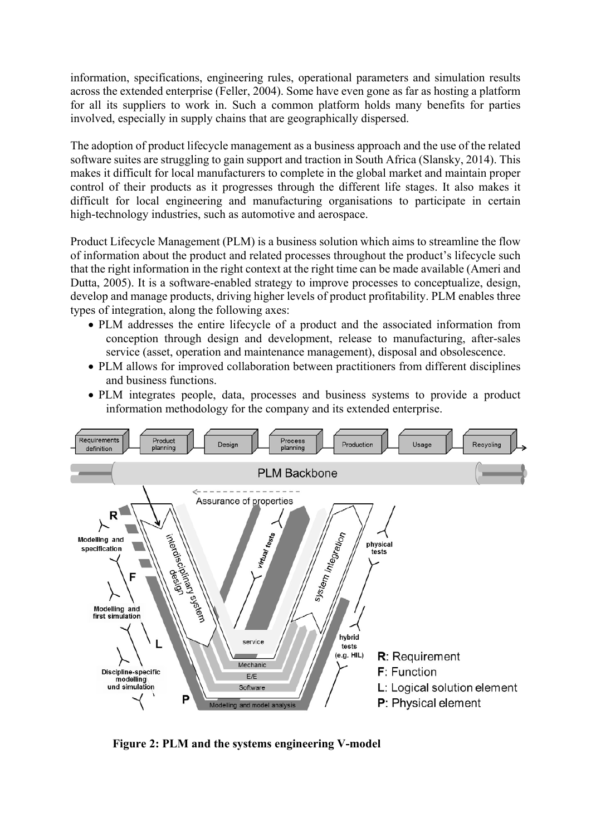information, specifications, engineering rules, operational parameters and simulation results across the extended enterprise (Feller, 2004). Some have even gone as far as hosting a platform for all its suppliers to work in. Such a common platform holds many benefits for parties involved, especially in supply chains that are geographically dispersed.

The adoption of product lifecycle management as a business approach and the use of the related software suites are struggling to gain support and traction in South Africa (Slansky, 2014). This makes it difficult for local manufacturers to complete in the global market and maintain proper control of their products as it progresses through the different life stages. It also makes it difficult for local engineering and manufacturing organisations to participate in certain high-technology industries, such as automotive and aerospace.

Product Lifecycle Management (PLM) is a business solution which aims to streamline the flow of information about the product and related processes throughout the product's lifecycle such that the right information in the right context at the right time can be made available (Ameri and Dutta, 2005). It is a software-enabled strategy to improve processes to conceptualize, design, develop and manage products, driving higher levels of product profitability. PLM enables three types of integration, along the following axes:

- PLM addresses the entire lifecycle of a product and the associated information from conception through design and development, release to manufacturing, after-sales service (asset, operation and maintenance management), disposal and obsolescence.
- PLM allows for improved collaboration between practitioners from different disciplines and business functions.
- PLM integrates people, data, processes and business systems to provide a product information methodology for the company and its extended enterprise.



**Figure 2: PLM and the systems engineering V-model**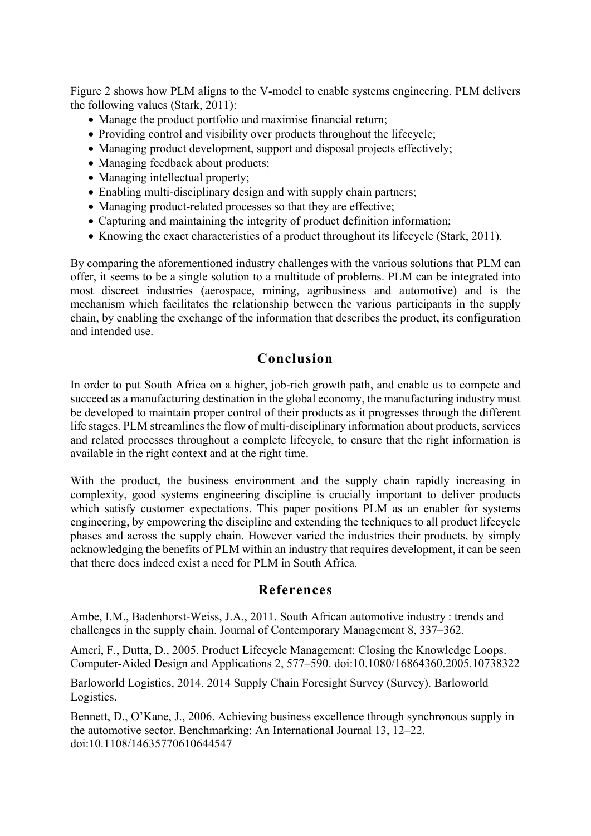Figure 2 shows how PLM aligns to the V-model to enable systems engineering. PLM delivers the following values (Stark, 2011):

- Manage the product portfolio and maximise financial return;
- Providing control and visibility over products throughout the lifecycle;
- Managing product development, support and disposal projects effectively;
- Managing feedback about products;
- Managing intellectual property;
- Enabling multi-disciplinary design and with supply chain partners;
- Managing product-related processes so that they are effective;
- Capturing and maintaining the integrity of product definition information;
- Knowing the exact characteristics of a product throughout its lifecycle (Stark, 2011).

By comparing the aforementioned industry challenges with the various solutions that PLM can offer, it seems to be a single solution to a multitude of problems. PLM can be integrated into most discreet industries (aerospace, mining, agribusiness and automotive) and is the mechanism which facilitates the relationship between the various participants in the supply chain, by enabling the exchange of the information that describes the product, its configuration and intended use.

# **Conclusion**

In order to put South Africa on a higher, job-rich growth path, and enable us to compete and succeed as a manufacturing destination in the global economy, the manufacturing industry must be developed to maintain proper control of their products as it progresses through the different life stages. PLM streamlines the flow of multi-disciplinary information about products, services and related processes throughout a complete lifecycle, to ensure that the right information is available in the right context and at the right time.

With the product, the business environment and the supply chain rapidly increasing in complexity, good systems engineering discipline is crucially important to deliver products which satisfy customer expectations. This paper positions PLM as an enabler for systems engineering, by empowering the discipline and extending the techniques to all product lifecycle phases and across the supply chain. However varied the industries their products, by simply acknowledging the benefits of PLM within an industry that requires development, it can be seen that there does indeed exist a need for PLM in South Africa.

#### **References**

Ambe, I.M., Badenhorst-Weiss, J.A., 2011. South African automotive industry : trends and challenges in the supply chain. Journal of Contemporary Management 8, 337–362.

Ameri, F., Dutta, D., 2005. Product Lifecycle Management: Closing the Knowledge Loops. Computer-Aided Design and Applications 2, 577–590. doi:10.1080/16864360.2005.10738322

Barloworld Logistics, 2014. 2014 Supply Chain Foresight Survey (Survey). Barloworld Logistics.

Bennett, D., O'Kane, J., 2006. Achieving business excellence through synchronous supply in the automotive sector. Benchmarking: An International Journal 13, 12–22. doi:10.1108/14635770610644547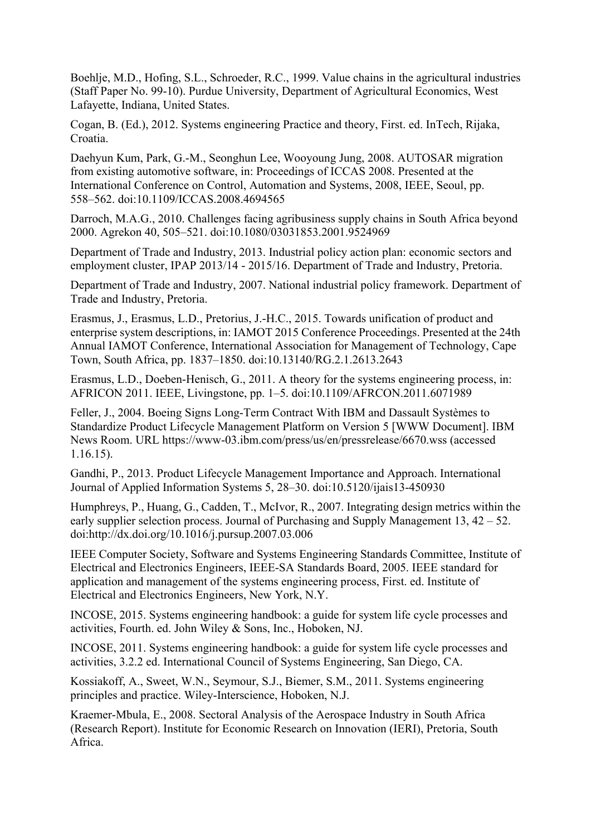Boehlje, M.D., Hofing, S.L., Schroeder, R.C., 1999. Value chains in the agricultural industries (Staff Paper No. 99-10). Purdue University, Department of Agricultural Economics, West Lafayette, Indiana, United States.

Cogan, B. (Ed.), 2012. Systems engineering Practice and theory, First. ed. InTech, Rijaka, Croatia.

Daehyun Kum, Park, G.-M., Seonghun Lee, Wooyoung Jung, 2008. AUTOSAR migration from existing automotive software, in: Proceedings of ICCAS 2008. Presented at the International Conference on Control, Automation and Systems, 2008, IEEE, Seoul, pp. 558–562. doi:10.1109/ICCAS.2008.4694565

Darroch, M.A.G., 2010. Challenges facing agribusiness supply chains in South Africa beyond 2000. Agrekon 40, 505–521. doi:10.1080/03031853.2001.9524969

Department of Trade and Industry, 2013. Industrial policy action plan: economic sectors and employment cluster, IPAP 2013/14 - 2015/16. Department of Trade and Industry, Pretoria.

Department of Trade and Industry, 2007. National industrial policy framework. Department of Trade and Industry, Pretoria.

Erasmus, J., Erasmus, L.D., Pretorius, J.-H.C., 2015. Towards unification of product and enterprise system descriptions, in: IAMOT 2015 Conference Proceedings. Presented at the 24th Annual IAMOT Conference, International Association for Management of Technology, Cape Town, South Africa, pp. 1837–1850. doi:10.13140/RG.2.1.2613.2643

Erasmus, L.D., Doeben-Henisch, G., 2011. A theory for the systems engineering process, in: AFRICON 2011. IEEE, Livingstone, pp. 1–5. doi:10.1109/AFRCON.2011.6071989

Feller, J., 2004. Boeing Signs Long-Term Contract With IBM and Dassault Systèmes to Standardize Product Lifecycle Management Platform on Version 5 [WWW Document]. IBM News Room. URL https://www-03.ibm.com/press/us/en/pressrelease/6670.wss (accessed 1.16.15).

Gandhi, P., 2013. Product Lifecycle Management Importance and Approach. International Journal of Applied Information Systems 5, 28–30. doi:10.5120/ijais13-450930

Humphreys, P., Huang, G., Cadden, T., McIvor, R., 2007. Integrating design metrics within the early supplier selection process. Journal of Purchasing and Supply Management 13, 42 – 52. doi:http://dx.doi.org/10.1016/j.pursup.2007.03.006

IEEE Computer Society, Software and Systems Engineering Standards Committee, Institute of Electrical and Electronics Engineers, IEEE-SA Standards Board, 2005. IEEE standard for application and management of the systems engineering process, First. ed. Institute of Electrical and Electronics Engineers, New York, N.Y.

INCOSE, 2015. Systems engineering handbook: a guide for system life cycle processes and activities, Fourth. ed. John Wiley & Sons, Inc., Hoboken, NJ.

INCOSE, 2011. Systems engineering handbook: a guide for system life cycle processes and activities, 3.2.2 ed. International Council of Systems Engineering, San Diego, CA.

Kossiakoff, A., Sweet, W.N., Seymour, S.J., Biemer, S.M., 2011. Systems engineering principles and practice. Wiley-Interscience, Hoboken, N.J.

Kraemer-Mbula, E., 2008. Sectoral Analysis of the Aerospace Industry in South Africa (Research Report). Institute for Economic Research on Innovation (IERI), Pretoria, South Africa.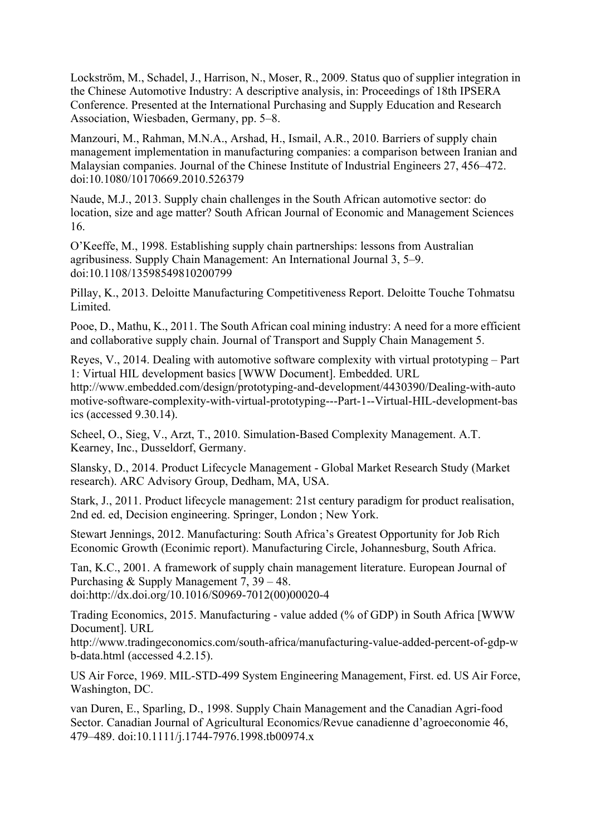Lockström, M., Schadel, J., Harrison, N., Moser, R., 2009. Status quo of supplier integration in the Chinese Automotive Industry: A descriptive analysis, in: Proceedings of 18th IPSERA Conference. Presented at the International Purchasing and Supply Education and Research Association, Wiesbaden, Germany, pp. 5–8.

Manzouri, M., Rahman, M.N.A., Arshad, H., Ismail, A.R., 2010. Barriers of supply chain management implementation in manufacturing companies: a comparison between Iranian and Malaysian companies. Journal of the Chinese Institute of Industrial Engineers 27, 456–472. doi:10.1080/10170669.2010.526379

Naude, M.J., 2013. Supply chain challenges in the South African automotive sector: do location, size and age matter? South African Journal of Economic and Management Sciences 16.

O'Keeffe, M., 1998. Establishing supply chain partnerships: lessons from Australian agribusiness. Supply Chain Management: An International Journal 3, 5–9. doi:10.1108/13598549810200799

Pillay, K., 2013. Deloitte Manufacturing Competitiveness Report. Deloitte Touche Tohmatsu Limited.

Pooe, D., Mathu, K., 2011. The South African coal mining industry: A need for a more efficient and collaborative supply chain. Journal of Transport and Supply Chain Management 5.

Reyes, V., 2014. Dealing with automotive software complexity with virtual prototyping – Part 1: Virtual HIL development basics [WWW Document]. Embedded. URL http://www.embedded.com/design/prototyping-and-development/4430390/Dealing-with-auto motive-software-complexity-with-virtual-prototyping---Part-1--Virtual-HIL-development-bas

ics (accessed 9.30.14).

Scheel, O., Sieg, V., Arzt, T., 2010. Simulation-Based Complexity Management. A.T. Kearney, Inc., Dusseldorf, Germany.

Slansky, D., 2014. Product Lifecycle Management - Global Market Research Study (Market research). ARC Advisory Group, Dedham, MA, USA.

Stark, J., 2011. Product lifecycle management: 21st century paradigm for product realisation, 2nd ed. ed, Decision engineering. Springer, London ; New York.

Stewart Jennings, 2012. Manufacturing: South Africa's Greatest Opportunity for Job Rich Economic Growth (Econimic report). Manufacturing Circle, Johannesburg, South Africa.

Tan, K.C., 2001. A framework of supply chain management literature. European Journal of Purchasing & Supply Management 7, 39 – 48. doi:http://dx.doi.org/10.1016/S0969-7012(00)00020-4

Trading Economics, 2015. Manufacturing - value added (% of GDP) in South Africa [WWW Document]. URL

http://www.tradingeconomics.com/south-africa/manufacturing-value-added-percent-of-gdp-w b-data.html (accessed 4.2.15).

US Air Force, 1969. MIL-STD-499 System Engineering Management, First. ed. US Air Force, Washington, DC.

van Duren, E., Sparling, D., 1998. Supply Chain Management and the Canadian Agri-food Sector. Canadian Journal of Agricultural Economics/Revue canadienne d'agroeconomie 46, 479–489. doi:10.1111/j.1744-7976.1998.tb00974.x